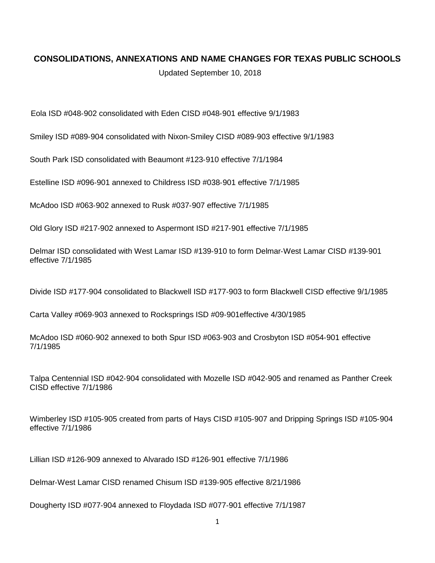## **CONSOLIDATIONS, ANNEXATIONS AND NAME CHANGES FOR TEXAS PUBLIC SCHOOLS**

Updated September 10, 2018

Eola ISD #048‐902 consolidated with Eden CISD #048‐901 effective 9/1/1983

Smiley ISD #089‐904 consolidated with Nixon‐Smiley CISD #089‐903 effective 9/1/1983

South Park ISD consolidated with Beaumont #123‐910 effective 7/1/1984

Estelline ISD #096‐901 annexed to Childress ISD #038‐901 effective 7/1/1985

McAdoo ISD #063‐902 annexed to Rusk #037‐907 effective 7/1/1985

Old Glory ISD #217‐902 annexed to Aspermont ISD #217‐901 effective 7/1/1985

Delmar ISD consolidated with West Lamar ISD #139‐910 to form Delmar‐West Lamar CISD #139‐901 effective 7/1/1985

Divide ISD #177‐904 consolidated to Blackwell ISD #177‐903 to form Blackwell CISD effective 9/1/1985

Carta Valley #069‐903 annexed to Rocksprings ISD #09‐901effective 4/30/1985

McAdoo ISD #060‐902 annexed to both Spur ISD #063‐903 and Crosbyton ISD #054‐901 effective 7/1/1985

Talpa Centennial ISD #042‐904 consolidated with Mozelle ISD #042‐905 and renamed as Panther Creek CISD effective 7/1/1986

Wimberley ISD #105‐905 created from parts of Hays CISD #105‐907 and Dripping Springs ISD #105‐904 effective 7/1/1986

Lillian ISD #126‐909 annexed to Alvarado ISD #126‐901 effective 7/1/1986

Delmar‐West Lamar CISD renamed Chisum ISD #139‐905 effective 8/21/1986

Dougherty ISD #077‐904 annexed to Floydada ISD #077‐901 effective 7/1/1987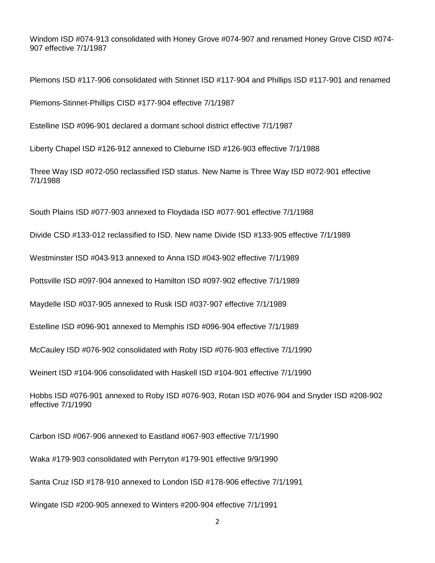Windom ISD #074‐913 consolidated with Honey Grove #074‐907 and renamed Honey Grove CISD #074‐ 907 effective 7/1/1987

Plemons ISD #117‐906 consolidated with Stinnet ISD #117‐904 and Phillips ISD #117‐901 and renamed

Plemons‐Stinnet‐Phillips CISD #177‐904 effective 7/1/1987

Estelline ISD #096‐901 declared a dormant school district effective 7/1/1987

Liberty Chapel ISD #126‐912 annexed to Cleburne ISD #126‐903 effective 7/1/1988

Three Way ISD #072‐050 reclassified ISD status. New Name is Three Way ISD #072‐901 effective 7/1/1988

South Plains ISD #077‐903 annexed to Floydada ISD #077‐901 effective 7/1/1988

Divide CSD #133‐012 reclassified to ISD. New name Divide ISD #133‐905 effective 7/1/1989

Westminster ISD #043‐913 annexed to Anna ISD #043‐902 effective 7/1/1989

Pottsville ISD #097‐904 annexed to Hamilton ISD #097‐902 effective 7/1/1989

Maydelle ISD #037‐905 annexed to Rusk ISD #037‐907 effective 7/1/1989

Estelline ISD #096‐901 annexed to Memphis ISD #096‐904 effective 7/1/1989

McCauley ISD #076‐902 consolidated with Roby ISD #076‐903 effective 7/1/1990

Weinert ISD #104‐906 consolidated with Haskell ISD #104‐901 effective 7/1/1990

Hobbs ISD #076‐901 annexed to Roby ISD #076‐903, Rotan ISD #076‐904 and Snyder ISD #208‐902 effective 7/1/1990

Carbon ISD #067‐906 annexed to Eastland #067‐903 effective 7/1/1990

Waka #179‐903 consolidated with Perryton #179‐901 effective 9/9/1990

Santa Cruz ISD #178‐910 annexed to London ISD #178‐906 effective 7/1/1991

Wingate ISD #200‐905 annexed to Winters #200‐904 effective 7/1/1991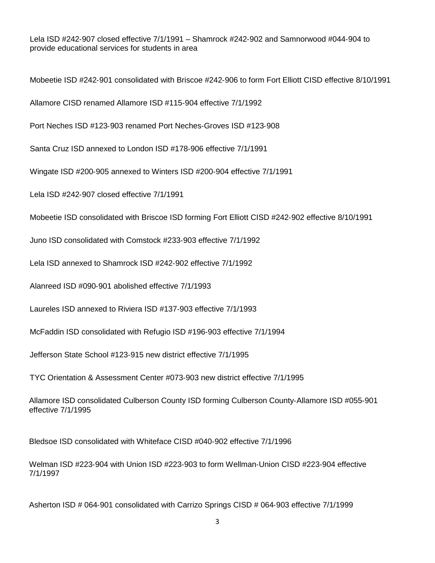Lela ISD #242‐907 closed effective 7/1/1991 – Shamrock #242‐902 and Samnorwood #044‐904 to provide educational services for students in area

Mobeetie ISD #242‐901 consolidated with Briscoe #242‐906 to form Fort Elliott CISD effective 8/10/1991

Allamore CISD renamed Allamore ISD #115‐904 effective 7/1/1992

Port Neches ISD #123‐903 renamed Port Neches‐Groves ISD #123‐908

Santa Cruz ISD annexed to London ISD #178‐906 effective 7/1/1991

Wingate ISD #200‐905 annexed to Winters ISD #200‐904 effective 7/1/1991

Lela ISD #242‐907 closed effective 7/1/1991

Mobeetie ISD consolidated with Briscoe ISD forming Fort Elliott CISD #242‐902 effective 8/10/1991

Juno ISD consolidated with Comstock #233‐903 effective 7/1/1992

Lela ISD annexed to Shamrock ISD #242‐902 effective 7/1/1992

Alanreed ISD #090‐901 abolished effective 7/1/1993

Laureles ISD annexed to Riviera ISD #137‐903 effective 7/1/1993

McFaddin ISD consolidated with Refugio ISD #196‐903 effective 7/1/1994

Jefferson State School #123‐915 new district effective 7/1/1995

TYC Orientation & Assessment Center #073‐903 new district effective 7/1/1995

Allamore ISD consolidated Culberson County ISD forming Culberson County‐Allamore ISD #055‐901 effective 7/1/1995

Bledsoe ISD consolidated with Whiteface CISD #040‐902 effective 7/1/1996

Welman ISD #223‐904 with Union ISD #223‐903 to form Wellman‐Union CISD #223‐904 effective 7/1/1997

Asherton ISD # 064‐901 consolidated with Carrizo Springs CISD # 064‐903 effective 7/1/1999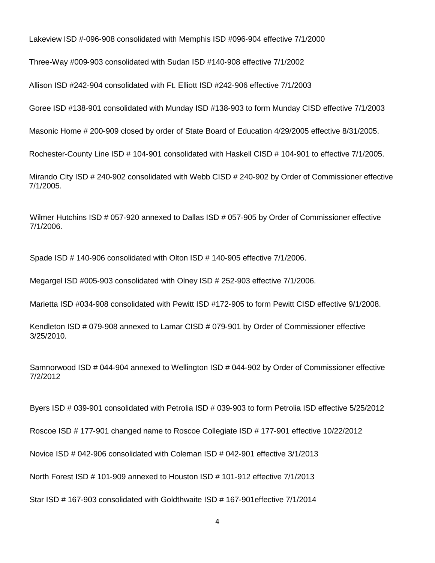Lakeview ISD #‐096‐908 consolidated with Memphis ISD #096‐904 effective 7/1/2000

Three‐Way #009‐903 consolidated with Sudan ISD #140‐908 effective 7/1/2002

Allison ISD #242‐904 consolidated with Ft. Elliott ISD #242‐906 effective 7/1/2003

Goree ISD #138‐901 consolidated with Munday ISD #138‐903 to form Munday CISD effective 7/1/2003

Masonic Home # 200‐909 closed by order of State Board of Education 4/29/2005 effective 8/31/2005.

Rochester‐County Line ISD # 104‐901 consolidated with Haskell CISD # 104‐901 to effective 7/1/2005.

Mirando City ISD # 240‐902 consolidated with Webb CISD # 240‐902 by Order of Commissioner effective 7/1/2005.

Wilmer Hutchins ISD # 057‐920 annexed to Dallas ISD # 057‐905 by Order of Commissioner effective 7/1/2006.

Spade ISD # 140‐906 consolidated with Olton ISD # 140‐905 effective 7/1/2006.

Megargel ISD #005‐903 consolidated with Olney ISD # 252‐903 effective 7/1/2006.

Marietta ISD #034‐908 consolidated with Pewitt ISD #172‐905 to form Pewitt CISD effective 9/1/2008.

Kendleton ISD # 079‐908 annexed to Lamar CISD # 079‐901 by Order of Commissioner effective 3/25/2010.

Samnorwood ISD # 044-904 annexed to Wellington ISD # 044-902 by Order of Commissioner effective 7/2/2012

Byers ISD # 039‐901 consolidated with Petrolia ISD # 039‐903 to form Petrolia ISD effective 5/25/2012

Roscoe ISD # 177‐901 changed name to Roscoe Collegiate ISD # 177‐901 effective 10/22/2012

Novice ISD # 042‐906 consolidated with Coleman ISD # 042‐901 effective 3/1/2013

North Forest ISD # 101‐909 annexed to Houston ISD # 101‐912 effective 7/1/2013

Star ISD # 167-903 consolidated with Goldthwaite ISD # 167-901effective 7/1/2014